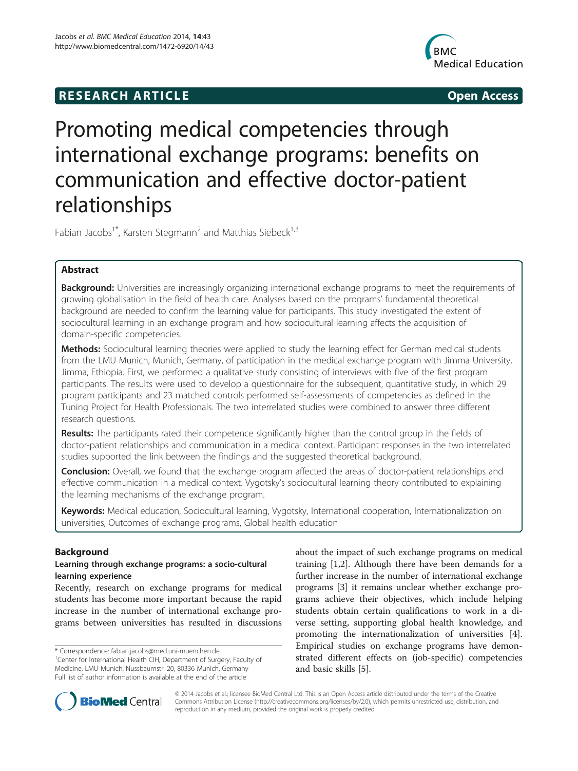# **RESEARCH ARTICLE Example 2014 The SEAR CH ACCESS**



# Promoting medical competencies through international exchange programs: benefits on communication and effective doctor-patient relationships

Fabian Jacobs<sup>1\*</sup>, Karsten Stegmann<sup>2</sup> and Matthias Siebeck<sup>1,3</sup>

# Abstract

**Background:** Universities are increasingly organizing international exchange programs to meet the requirements of growing globalisation in the field of health care. Analyses based on the programs' fundamental theoretical background are needed to confirm the learning value for participants. This study investigated the extent of sociocultural learning in an exchange program and how sociocultural learning affects the acquisition of domain-specific competencies.

**Methods:** Sociocultural learning theories were applied to study the learning effect for German medical students from the LMU Munich, Munich, Germany, of participation in the medical exchange program with Jimma University, Jimma, Ethiopia. First, we performed a qualitative study consisting of interviews with five of the first program participants. The results were used to develop a questionnaire for the subsequent, quantitative study, in which 29 program participants and 23 matched controls performed self-assessments of competencies as defined in the Tuning Project for Health Professionals. The two interrelated studies were combined to answer three different research questions.

Results: The participants rated their competence significantly higher than the control group in the fields of doctor-patient relationships and communication in a medical context. Participant responses in the two interrelated studies supported the link between the findings and the suggested theoretical background.

**Conclusion:** Overall, we found that the exchange program affected the areas of doctor-patient relationships and effective communication in a medical context. Vygotsky's sociocultural learning theory contributed to explaining the learning mechanisms of the exchange program.

Keywords: Medical education, Sociocultural learning, Vygotsky, International cooperation, Internationalization on universities, Outcomes of exchange programs, Global health education

# Background

# Learning through exchange programs: a socio-cultural learning experience

Recently, research on exchange programs for medical students has become more important because the rapid increase in the number of international exchange programs between universities has resulted in discussions

about the impact of such exchange programs on medical training [[1,2\]](#page-6-0). Although there have been demands for a further increase in the number of international exchange programs [[3](#page-6-0)] it remains unclear whether exchange programs achieve their objectives, which include helping students obtain certain qualifications to work in a diverse setting, supporting global health knowledge, and promoting the internationalization of universities [\[4](#page-7-0)]. Empirical studies on exchange programs have demonstrated different effects on (job-specific) competencies and basic skills [\[5](#page-7-0)].



© 2014 Jacobs et al.; licensee BioMed Central Ltd. This is an Open Access article distributed under the terms of the Creative Commons Attribution License [\(http://creativecommons.org/licenses/by/2.0\)](http://creativecommons.org/licenses/by/2.0), which permits unrestricted use, distribution, and reproduction in any medium, provided the original work is properly credited.

<sup>\*</sup> Correspondence: [fabian.jacobs@med.uni-muenchen.de](mailto:fabian.jacobs@med.uni-muenchen.de) <sup>1</sup>

<sup>&</sup>lt;sup>1</sup> Center for International Health CIH, Department of Surgery, Faculty of Medicine, LMU Munich, Nussbaumstr. 20, 80336 Munich, Germany Full list of author information is available at the end of the article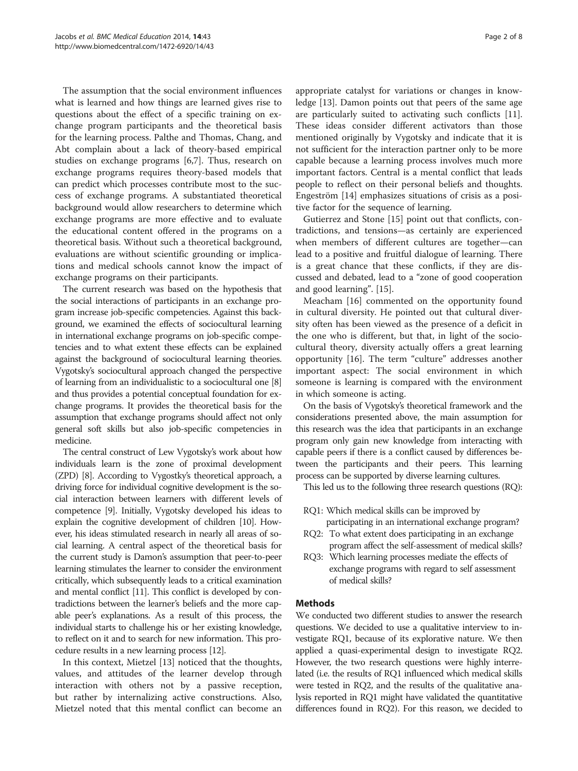The assumption that the social environment influences what is learned and how things are learned gives rise to questions about the effect of a specific training on exchange program participants and the theoretical basis for the learning process. Palthe and Thomas, Chang, and Abt complain about a lack of theory-based empirical studies on exchange programs [\[6](#page-7-0),[7](#page-7-0)]. Thus, research on exchange programs requires theory-based models that can predict which processes contribute most to the success of exchange programs. A substantiated theoretical background would allow researchers to determine which exchange programs are more effective and to evaluate the educational content offered in the programs on a theoretical basis. Without such a theoretical background, evaluations are without scientific grounding or implications and medical schools cannot know the impact of exchange programs on their participants.

The current research was based on the hypothesis that the social interactions of participants in an exchange program increase job-specific competencies. Against this background, we examined the effects of sociocultural learning in international exchange programs on job-specific competencies and to what extent these effects can be explained against the background of sociocultural learning theories. Vygotsky's sociocultural approach changed the perspective of learning from an individualistic to a sociocultural one [[8](#page-7-0)] and thus provides a potential conceptual foundation for exchange programs. It provides the theoretical basis for the assumption that exchange programs should affect not only general soft skills but also job-specific competencies in medicine.

The central construct of Lew Vygotsky's work about how individuals learn is the zone of proximal development (ZPD) [\[8](#page-7-0)]. According to Vygostky's theoretical approach, a driving force for individual cognitive development is the social interaction between learners with different levels of competence [\[9\]](#page-7-0). Initially, Vygotsky developed his ideas to explain the cognitive development of children [[10](#page-7-0)]. However, his ideas stimulated research in nearly all areas of social learning. A central aspect of the theoretical basis for the current study is Damon's assumption that peer-to-peer learning stimulates the learner to consider the environment critically, which subsequently leads to a critical examination and mental conflict [\[11\]](#page-7-0). This conflict is developed by contradictions between the learner's beliefs and the more capable peer's explanations. As a result of this process, the individual starts to challenge his or her existing knowledge, to reflect on it and to search for new information. This procedure results in a new learning process [\[12\]](#page-7-0).

In this context, Mietzel [\[13](#page-7-0)] noticed that the thoughts, values, and attitudes of the learner develop through interaction with others not by a passive reception, but rather by internalizing active constructions. Also, Mietzel noted that this mental conflict can become an

appropriate catalyst for variations or changes in knowledge [\[13](#page-7-0)]. Damon points out that peers of the same age are particularly suited to activating such conflicts [\[11](#page-7-0)]. These ideas consider different activators than those mentioned originally by Vygotsky and indicate that it is not sufficient for the interaction partner only to be more capable because a learning process involves much more important factors. Central is a mental conflict that leads people to reflect on their personal beliefs and thoughts. Engeström [\[14\]](#page-7-0) emphasizes situations of crisis as a positive factor for the sequence of learning.

Gutierrez and Stone [[15\]](#page-7-0) point out that conflicts, contradictions, and tensions—as certainly are experienced when members of different cultures are together—can lead to a positive and fruitful dialogue of learning. There is a great chance that these conflicts, if they are discussed and debated, lead to a "zone of good cooperation and good learning". [[15\]](#page-7-0).

Meacham [\[16](#page-7-0)] commented on the opportunity found in cultural diversity. He pointed out that cultural diversity often has been viewed as the presence of a deficit in the one who is different, but that, in light of the sociocultural theory, diversity actually offers a great learning opportunity [[16](#page-7-0)]. The term "culture" addresses another important aspect: The social environment in which someone is learning is compared with the environment in which someone is acting.

On the basis of Vygotsky's theoretical framework and the considerations presented above, the main assumption for this research was the idea that participants in an exchange program only gain new knowledge from interacting with capable peers if there is a conflict caused by differences between the participants and their peers. This learning process can be supported by diverse learning cultures.

This led us to the following three research questions (RQ):

- RQ1: Which medical skills can be improved by participating in an international exchange program?
- RQ2: To what extent does participating in an exchange program affect the self-assessment of medical skills?
- RQ3: Which learning processes mediate the effects of exchange programs with regard to self assessment of medical skills?

# Methods

We conducted two different studies to answer the research questions. We decided to use a qualitative interview to investigate RQ1, because of its explorative nature. We then applied a quasi-experimental design to investigate RQ2. However, the two research questions were highly interrelated (i.e. the results of RQ1 influenced which medical skills were tested in RQ2, and the results of the qualitative analysis reported in RQ1 might have validated the quantitative differences found in RQ2). For this reason, we decided to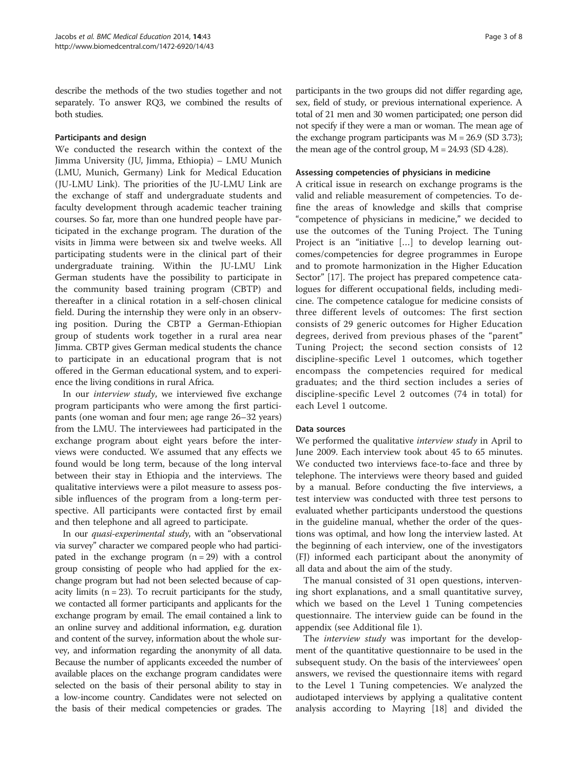describe the methods of the two studies together and not separately. To answer RQ3, we combined the results of both studies.

#### Participants and design

We conducted the research within the context of the Jimma University (JU, Jimma, Ethiopia) – LMU Munich (LMU, Munich, Germany) Link for Medical Education (JU-LMU Link). The priorities of the JU-LMU Link are the exchange of staff and undergraduate students and faculty development through academic teacher training courses. So far, more than one hundred people have participated in the exchange program. The duration of the visits in Jimma were between six and twelve weeks. All participating students were in the clinical part of their undergraduate training. Within the JU-LMU Link German students have the possibility to participate in the community based training program (CBTP) and thereafter in a clinical rotation in a self-chosen clinical field. During the internship they were only in an observing position. During the CBTP a German-Ethiopian group of students work together in a rural area near Jimma. CBTP gives German medical students the chance to participate in an educational program that is not offered in the German educational system, and to experience the living conditions in rural Africa.

In our interview study, we interviewed five exchange program participants who were among the first participants (one woman and four men; age range 26–32 years) from the LMU. The interviewees had participated in the exchange program about eight years before the interviews were conducted. We assumed that any effects we found would be long term, because of the long interval between their stay in Ethiopia and the interviews. The qualitative interviews were a pilot measure to assess possible influences of the program from a long-term perspective. All participants were contacted first by email and then telephone and all agreed to participate.

In our quasi-experimental study, with an "observational via survey" character we compared people who had participated in the exchange program  $(n = 29)$  with a control group consisting of people who had applied for the exchange program but had not been selected because of capacity limits  $(n = 23)$ . To recruit participants for the study, we contacted all former participants and applicants for the exchange program by email. The email contained a link to an online survey and additional information, e.g. duration and content of the survey, information about the whole survey, and information regarding the anonymity of all data. Because the number of applicants exceeded the number of available places on the exchange program candidates were selected on the basis of their personal ability to stay in a low-income country. Candidates were not selected on the basis of their medical competencies or grades. The

participants in the two groups did not differ regarding age, sex, field of study, or previous international experience. A total of 21 men and 30 women participated; one person did not specify if they were a man or woman. The mean age of the exchange program participants was  $M = 26.9$  (SD 3.73); the mean age of the control group,  $M = 24.93$  (SD 4.28).

#### Assessing competencies of physicians in medicine

A critical issue in research on exchange programs is the valid and reliable measurement of competencies. To define the areas of knowledge and skills that comprise "competence of physicians in medicine," we decided to use the outcomes of the Tuning Project. The Tuning Project is an "initiative […] to develop learning outcomes/competencies for degree programmes in Europe and to promote harmonization in the Higher Education Sector" [[17](#page-7-0)]. The project has prepared competence catalogues for different occupational fields, including medicine. The competence catalogue for medicine consists of three different levels of outcomes: The first section consists of 29 generic outcomes for Higher Education degrees, derived from previous phases of the "parent" Tuning Project; the second section consists of 12 discipline-specific Level 1 outcomes, which together encompass the competencies required for medical graduates; and the third section includes a series of discipline-specific Level 2 outcomes (74 in total) for each Level 1 outcome.

#### Data sources

We performed the qualitative *interview study* in April to June 2009. Each interview took about 45 to 65 minutes. We conducted two interviews face-to-face and three by telephone. The interviews were theory based and guided by a manual. Before conducting the five interviews, a test interview was conducted with three test persons to evaluated whether participants understood the questions in the guideline manual, whether the order of the questions was optimal, and how long the interview lasted. At the beginning of each interview, one of the investigators (FJ) informed each participant about the anonymity of all data and about the aim of the study.

The manual consisted of 31 open questions, intervening short explanations, and a small quantitative survey, which we based on the Level 1 Tuning competencies questionnaire. The interview guide can be found in the appendix (see Additional file [1\)](#page-6-0).

The *interview study* was important for the development of the quantitative questionnaire to be used in the subsequent study. On the basis of the interviewees' open answers, we revised the questionnaire items with regard to the Level 1 Tuning competencies. We analyzed the audiotaped interviews by applying a qualitative content analysis according to Mayring [\[18\]](#page-7-0) and divided the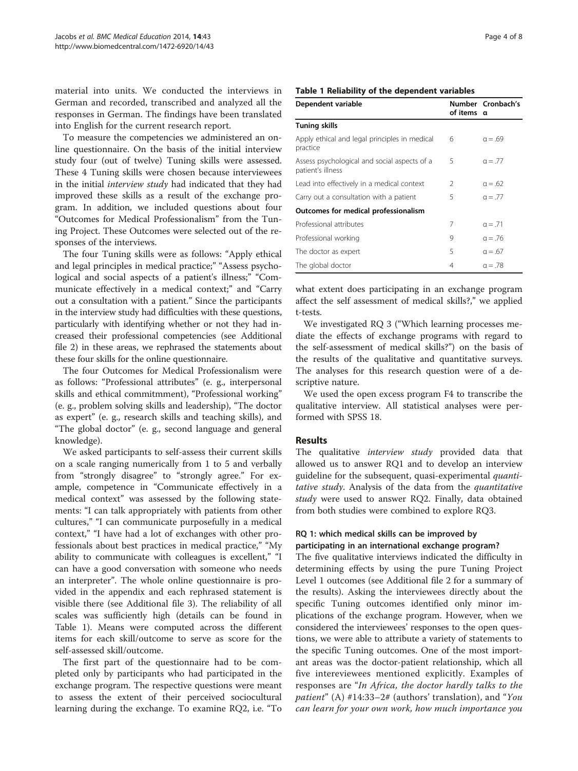<span id="page-3-0"></span>material into units. We conducted the interviews in German and recorded, transcribed and analyzed all the responses in German. The findings have been translated into English for the current research report.

To measure the competencies we administered an online questionnaire. On the basis of the initial interview study four (out of twelve) Tuning skills were assessed. These 4 Tuning skills were chosen because interviewees in the initial interview study had indicated that they had improved these skills as a result of the exchange program. In addition, we included questions about four "Outcomes for Medical Professionalism" from the Tuning Project. These Outcomes were selected out of the responses of the interviews.

The four Tuning skills were as follows: "Apply ethical and legal principles in medical practice;" "Assess psychological and social aspects of a patient's illness;" "Communicate effectively in a medical context;" and "Carry out a consultation with a patient." Since the participants in the interview study had difficulties with these questions, particularly with identifying whether or not they had increased their professional competencies (see Additional file [2](#page-6-0)) in these areas, we rephrased the statements about these four skills for the online questionnaire.

The four Outcomes for Medical Professionalism were as follows: "Professional attributes" (e. g., interpersonal skills and ethical commitmment), "Professional working" (e. g., problem solving skills and leadership), "The doctor as expert" (e. g., research skills and teaching skills), and "The global doctor" (e. g., second language and general knowledge).

We asked participants to self-assess their current skills on a scale ranging numerically from 1 to 5 and verbally from "strongly disagree" to "strongly agree." For example, competence in "Communicate effectively in a medical context" was assessed by the following statements: "I can talk appropriately with patients from other cultures," "I can communicate purposefully in a medical context," "I have had a lot of exchanges with other professionals about best practices in medical practice," "My ability to communicate with colleagues is excellent," "I can have a good conversation with someone who needs an interpreter". The whole online questionnaire is provided in the appendix and each rephrased statement is visible there (see Additional file [3](#page-6-0)). The reliability of all scales was sufficiently high (details can be found in Table 1). Means were computed across the different items for each skill/outcome to serve as score for the self-assessed skill/outcome.

The first part of the questionnaire had to be completed only by participants who had participated in the exchange program. The respective questions were meant to assess the extent of their perceived sociocultural learning during the exchange. To examine RQ2, i.e. "To

#### Table 1 Reliability of the dependent variables

| Dependent variable                                                | of items a | Number Cronbach's |
|-------------------------------------------------------------------|------------|-------------------|
| <b>Tuning skills</b>                                              |            |                   |
| Apply ethical and legal principles in medical<br>practice         | 6          | $\alpha = .69$    |
| Assess psychological and social aspects of a<br>patient's illness | 5          | $\alpha = .77$    |
| Lead into effectively in a medical context                        | 2          | $a = 62$          |
| Carry out a consultation with a patient                           | 5          | $\alpha = .77$    |
| Outcomes for medical professionalism                              |            |                   |
| Professional attributes                                           | 7          | $a = 0.71$        |
| Professional working                                              | 9          | $\alpha = .76$    |
| The doctor as expert                                              | 5          | $a = .67$         |
| The global doctor                                                 | 4          | $\alpha = .78$    |

what extent does participating in an exchange program affect the self assessment of medical skills?," we applied t-tests.

We investigated RQ 3 ("Which learning processes mediate the effects of exchange programs with regard to the self-assessment of medical skills?") on the basis of the results of the qualitative and quantitative surveys. The analyses for this research question were of a descriptive nature.

We used the open excess program F4 to transcribe the qualitative interview. All statistical analyses were performed with SPSS 18.

#### Results

The qualitative *interview study* provided data that allowed us to answer RQ1 and to develop an interview guideline for the subsequent, quasi-experimental *quanti*tative study. Analysis of the data from the quantitative study were used to answer RQ2. Finally, data obtained from both studies were combined to explore RQ3.

# RQ 1: which medical skills can be improved by participating in an international exchange program?

The five qualitative interviews indicated the difficulty in determining effects by using the pure Tuning Project Level 1 outcomes (see Additional file [2](#page-6-0) for a summary of the results). Asking the interviewees directly about the specific Tuning outcomes identified only minor implications of the exchange program. However, when we considered the interviewees' responses to the open questions, we were able to attribute a variety of statements to the specific Tuning outcomes. One of the most important areas was the doctor-patient relationship, which all five intereviewees mentioned explicitly. Examples of responses are "In Africa, the doctor hardly talks to the *patient*" (A)  $\#14:33-2\#$  (authors' translation), and "You" can learn for your own work, how much importance you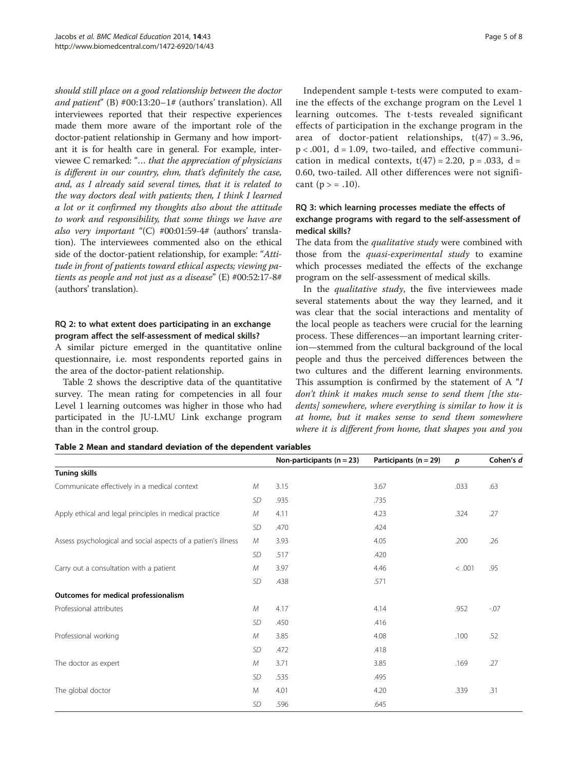should still place on a good relationship between the doctor and patient" (B) #00:13:20–1# (authors' translation). All interviewees reported that their respective experiences made them more aware of the important role of the doctor-patient relationship in Germany and how important it is for health care in general. For example, interviewee C remarked: "… that the appreciation of physicians is different in our country, ehm, that's definitely the case, and, as I already said several times, that it is related to the way doctors deal with patients; then, I think I learned a lot or it confirmed my thoughts also about the attitude to work and responsibility, that some things we have are also very important "(C)  $#00:01:59-4#$  (authors' translation). The interviewees commented also on the ethical side of the doctor-patient relationship, for example: "Attitude in front of patients toward ethical aspects; viewing patients as people and not just as a disease" (E) #00:52:17-8# (authors' translation).

# RQ 2: to what extent does participating in an exchange program affect the self-assessment of medical skills?

A similar picture emerged in the quantitative online questionnaire, i.e. most respondents reported gains in the area of the doctor-patient relationship.

Table 2 shows the descriptive data of the quantitative survey. The mean rating for competencies in all four Level 1 learning outcomes was higher in those who had participated in the JU-LMU Link exchange program than in the control group.

Independent sample t-tests were computed to examine the effects of the exchange program on the Level 1 learning outcomes. The t-tests revealed significant effects of participation in the exchange program in the area of doctor-patient relationships,  $t(47) = 3.96$ ,  $p < .001$ ,  $d = 1.09$ , two-tailed, and effective communication in medical contexts,  $t(47) = 2.20$ ,  $p = .033$ ,  $d =$ 0.60, two-tailed. All other differences were not significant ( $p > = .10$ ).

# RQ 3: which learning processes mediate the effects of exchange programs with regard to the self-assessment of medical skills?

The data from the *qualitative study* were combined with those from the *quasi-experimental study* to examine which processes mediated the effects of the exchange program on the self-assessment of medical skills.

In the *qualitative study*, the five interviewees made several statements about the way they learned, and it was clear that the social interactions and mentality of the local people as teachers were crucial for the learning process. These differences—an important learning criterion—stemmed from the cultural background of the local people and thus the perceived differences between the two cultures and the different learning environments. This assumption is confirmed by the statement of A "I don't think it makes much sense to send them [the students] somewhere, where everything is similar to how it is at home, but it makes sense to send them somewhere where it is different from home, that shapes you and you

|  |  |  |  |  |  |  | Table 2 Mean and standard deviation of the dependent variables |  |
|--|--|--|--|--|--|--|----------------------------------------------------------------|--|
|--|--|--|--|--|--|--|----------------------------------------------------------------|--|

|                                                               |           | Non-participants $(n = 23)$ | Participants ( $n = 29$ ) | $\boldsymbol{p}$ | Cohen's d |
|---------------------------------------------------------------|-----------|-----------------------------|---------------------------|------------------|-----------|
| <b>Tuning skills</b>                                          |           |                             |                           |                  |           |
| Communicate effectively in a medical context                  | М         | 3.15                        | 3.67                      | .033             | .63       |
|                                                               | <b>SD</b> | .935                        | .735                      |                  |           |
| Apply ethical and legal principles in medical practice        | М         | 4.11                        | 4.23                      | .324             | .27       |
|                                                               | <b>SD</b> | .470                        | .424                      |                  |           |
| Assess psychological and social aspects of a patien's illness | М         | 3.93                        | 4.05                      | .200             | .26       |
|                                                               | <b>SD</b> | .517                        | .420                      |                  |           |
| Carry out a consultation with a patient                       | М         | 3.97                        | 4.46                      | < .001           | .95       |
|                                                               | <b>SD</b> | .438                        | .571                      |                  |           |
| Outcomes for medical professionalism                          |           |                             |                           |                  |           |
| Professional attributes                                       | М         | 4.17                        | 4.14                      | .952             | $-0.07$   |
|                                                               | <b>SD</b> | .450                        | .416                      |                  |           |
| Professional working                                          | М         | 3.85                        | 4.08                      | .100             | .52       |
|                                                               | <b>SD</b> | .472                        | .418                      |                  |           |
| The doctor as expert                                          | М         | 3.71                        | 3.85                      | .169             | .27       |
|                                                               | <b>SD</b> | .535                        | .495                      |                  |           |
| The global doctor                                             | M         | 4.01                        | 4.20                      | .339             | .31       |
|                                                               | <b>SD</b> | .596                        | .645                      |                  |           |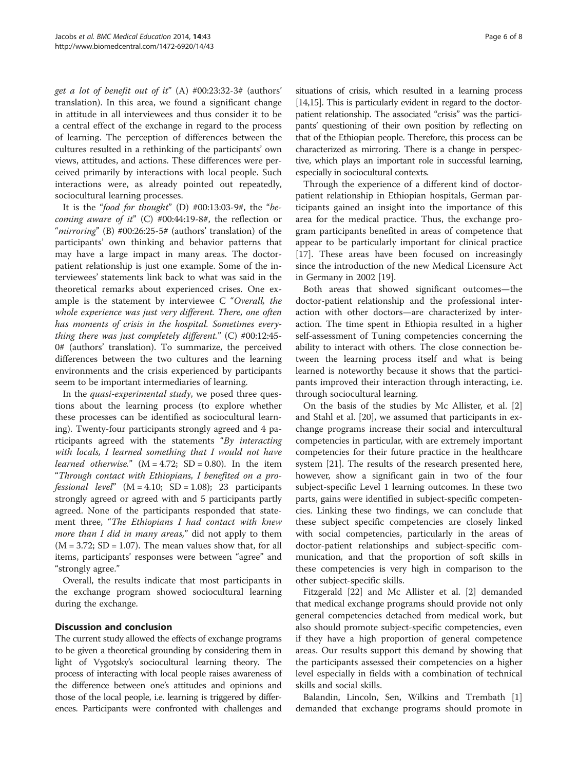get a lot of benefit out of it"  $(A)$  #00:23:32-3# (authors' translation). In this area, we found a significant change in attitude in all interviewees and thus consider it to be a central effect of the exchange in regard to the process of learning. The perception of differences between the cultures resulted in a rethinking of the participants' own views, attitudes, and actions. These differences were perceived primarily by interactions with local people. Such interactions were, as already pointed out repeatedly, sociocultural learning processes.

It is the "food for thought" (D)  $#00:13:03-9#$ , the "becoming aware of it" (C) #00:44:19-8#, the reflection or "*mirroring*" (B)  $\#00:26:25-5\#$  (authors' translation) of the participants' own thinking and behavior patterns that may have a large impact in many areas. The doctorpatient relationship is just one example. Some of the interviewees' statements link back to what was said in the theoretical remarks about experienced crises. One example is the statement by interviewee C "Overall, the whole experience was just very different. There, one often has moments of crisis in the hospital. Sometimes everything there was just completely different."  $(C)$  #00:12:45-0# (authors' translation). To summarize, the perceived differences between the two cultures and the learning environments and the crisis experienced by participants seem to be important intermediaries of learning.

In the quasi-experimental study, we posed three questions about the learning process (to explore whether these processes can be identified as sociocultural learning). Twenty-four participants strongly agreed and 4 participants agreed with the statements "By interacting with locals, I learned something that I would not have *learned otherwise.*"  $(M = 4.72; SD = 0.80)$ . In the item "Through contact with Ethiopians, I benefited on a professional level"  $(M = 4.10; SD = 1.08)$ ; 23 participants strongly agreed or agreed with and 5 participants partly agreed. None of the participants responded that statement three, "The Ethiopians I had contact with knew more than I did in many areas," did not apply to them  $(M = 3.72; SD = 1.07)$ . The mean values show that, for all items, participants' responses were between "agree" and "strongly agree."

Overall, the results indicate that most participants in the exchange program showed sociocultural learning during the exchange.

# Discussion and conclusion

The current study allowed the effects of exchange programs to be given a theoretical grounding by considering them in light of Vygotsky's sociocultural learning theory. The process of interacting with local people raises awareness of the difference between one's attitudes and opinions and those of the local people, i.e. learning is triggered by differences. Participants were confronted with challenges and situations of crisis, which resulted in a learning process [[14,15\]](#page-7-0). This is particularly evident in regard to the doctorpatient relationship. The associated "crisis" was the participants' questioning of their own position by reflecting on that of the Ethiopian people. Therefore, this process can be characterized as mirroring. There is a change in perspective, which plays an important role in successful learning, especially in sociocultural contexts.

Through the experience of a different kind of doctorpatient relationship in Ethiopian hospitals, German participants gained an insight into the importance of this area for the medical practice. Thus, the exchange program participants benefited in areas of competence that appear to be particularly important for clinical practice [[17\]](#page-7-0). These areas have been focused on increasingly since the introduction of the new Medical Licensure Act in Germany in 2002 [[19\]](#page-7-0).

Both areas that showed significant outcomes—the doctor-patient relationship and the professional interaction with other doctors—are characterized by interaction. The time spent in Ethiopia resulted in a higher self-assessment of Tuning competencies concerning the ability to interact with others. The close connection between the learning process itself and what is being learned is noteworthy because it shows that the participants improved their interaction through interacting, i.e. through sociocultural learning.

On the basis of the studies by Mc Allister, et al. [\[2](#page-6-0)] and Stahl et al. [[20\]](#page-7-0), we assumed that participants in exchange programs increase their social and intercultural competencies in particular, with are extremely important competencies for their future practice in the healthcare system [\[21](#page-7-0)]. The results of the research presented here, however, show a significant gain in two of the four subject-specific Level 1 learning outcomes. In these two parts, gains were identified in subject-specific competencies. Linking these two findings, we can conclude that these subject specific competencies are closely linked with social competencies, particularly in the areas of doctor-patient relationships and subject-specific communication, and that the proportion of soft skills in these competencies is very high in comparison to the other subject-specific skills.

Fitzgerald [\[22\]](#page-7-0) and Mc Allister et al. [[2\]](#page-6-0) demanded that medical exchange programs should provide not only general competencies detached from medical work, but also should promote subject-specific competencies, even if they have a high proportion of general competence areas. Our results support this demand by showing that the participants assessed their competencies on a higher level especially in fields with a combination of technical skills and social skills.

Balandin, Lincoln, Sen, Wilkins and Trembath [\[1](#page-6-0)] demanded that exchange programs should promote in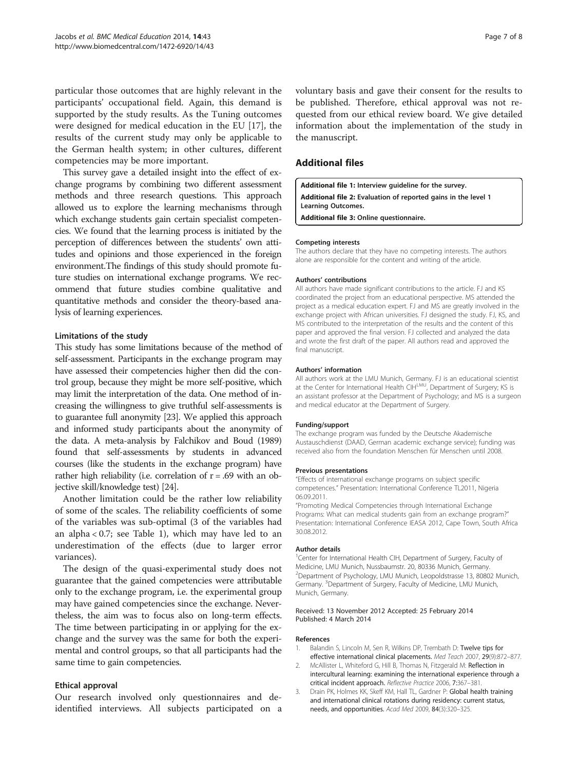<span id="page-6-0"></span>particular those outcomes that are highly relevant in the participants' occupational field. Again, this demand is supported by the study results. As the Tuning outcomes were designed for medical education in the EU [\[17\]](#page-7-0), the results of the current study may only be applicable to the German health system; in other cultures, different competencies may be more important.

This survey gave a detailed insight into the effect of exchange programs by combining two different assessment methods and three research questions. This approach allowed us to explore the learning mechanisms through which exchange students gain certain specialist competencies. We found that the learning process is initiated by the perception of differences between the students' own attitudes and opinions and those experienced in the foreign environment.The findings of this study should promote future studies on international exchange programs. We recommend that future studies combine qualitative and quantitative methods and consider the theory-based analysis of learning experiences.

#### Limitations of the study

This study has some limitations because of the method of self-assessment. Participants in the exchange program may have assessed their competencies higher then did the control group, because they might be more self-positive, which may limit the interpretation of the data. One method of increasing the willingness to give truthful self-assessments is to guarantee full anonymity [[23\]](#page-7-0). We applied this approach and informed study participants about the anonymity of the data. A meta-analysis by Falchikov and Boud (1989) found that self-assessments by students in advanced courses (like the students in the exchange program) have rather high reliability (i.e. correlation of  $r = .69$  with an objective skill/knowledge test) [[24](#page-7-0)].

Another limitation could be the rather low reliability of some of the scales. The reliability coefficients of some of the variables was sub-optimal (3 of the variables had an alpha <  $0.7$ ; see Table [1](#page-3-0)), which may have led to an underestimation of the effects (due to larger error variances).

The design of the quasi-experimental study does not guarantee that the gained competencies were attributable only to the exchange program, i.e. the experimental group may have gained competencies since the exchange. Nevertheless, the aim was to focus also on long-term effects. The time between participating in or applying for the exchange and the survey was the same for both the experimental and control groups, so that all participants had the same time to gain competencies.

#### Ethical approval

Our research involved only questionnaires and deidentified interviews. All subjects participated on a voluntary basis and gave their consent for the results to be published. Therefore, ethical approval was not requested from our ethical review board. We give detailed information about the implementation of the study in the manuscript.

# Additional files

[Additional file 1:](http://www.biomedcentral.com/content/supplementary/1472-6920-14-43-S1.docx) Interview guideline for the survey. [Additional file 2:](http://www.biomedcentral.com/content/supplementary/1472-6920-14-43-S2.docx) Evaluation of reported gains in the level 1 Learning Outcomes. [Additional file 3:](http://www.biomedcentral.com/content/supplementary/1472-6920-14-43-S3.docx) Online questionnaire.

#### Competing interests

The authors declare that they have no competing interests. The authors alone are responsible for the content and writing of the article.

#### Authors' contributions

All authors have made significant contributions to the article. FJ and KS coordinated the project from an educational perspective. MS attended the project as a medical education expert. FJ and MS are greatly involved in the exchange project with African universities. FJ designed the study. FJ, KS, and MS contributed to the interpretation of the results and the content of this paper and approved the final version. FJ collected and analyzed the data and wrote the first draft of the paper. All authors read and approved the final manuscript.

#### Authors' information

All authors work at the LMU Munich, Germany. FJ is an educational scientist at the Center for International Health CIHLMU, Department of Surgery; KS is an assistant professor at the Department of Psychology; and MS is a surgeon and medical educator at the Department of Surgery.

#### Funding/support

The exchange program was funded by the Deutsche Akademische Austauschdienst (DAAD, German academic exchange service); funding was received also from the foundation Menschen für Menschen until 2008.

#### Previous presentations

"Effects of international exchange programs on subject specific competences." Presentation: International Conference TL2011, Nigeria 06.09.2011.

"Promoting Medical Competencies through International Exchange Programs: What can medical students gain from an exchange program?" Presentation: International Conference IEASA 2012, Cape Town, South Africa 30.08.2012.

#### Author details

<sup>1</sup> Center for International Health CIH, Department of Surgery, Faculty of Medicine, LMU Munich, Nussbaumstr. 20, 80336 Munich, Germany. 2 Department of Psychology, LMU Munich, Leopoldstrasse 13, 80802 Munich, Germany. <sup>3</sup>Department of Surgery, Faculty of Medicine, LMU Munich Munich, Germany.

#### Received: 13 November 2012 Accepted: 25 February 2014 Published: 4 March 2014

#### References

- 1. Balandin S, Lincoln M, Sen R, Wilkins DP, Trembath D: Twelve tips for effective international clinical placements. Med Teach 2007, 29(9):872–877.
- 2. McAllister L, Whiteford G, Hill B, Thomas N, Fitzgerald M: Reflection in intercultural learning: examining the international experience through a critical incident approach. Reflective Practice 2006, 7:367–381.
- 3. Drain PK, Holmes KK, Skeff KM, Hall TL, Gardner P: Global health training and international clinical rotations during residency: current status, needs, and opportunities. Acad Med 2009, 84(3):320–325.